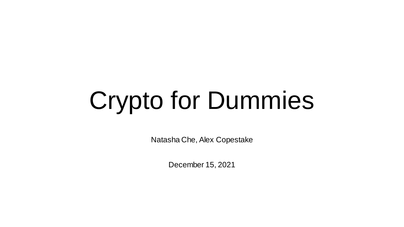# Crypto for Dummies

Natasha Che, Alex Copestake

December 15, 2021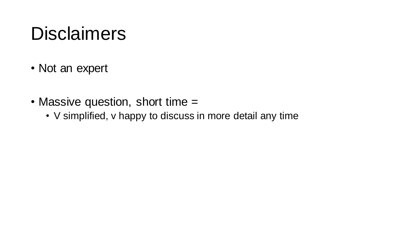### **Disclaimers**

- Not an expert
- Massive question, short time =
	- V simplified, v happy to discuss in more detail any time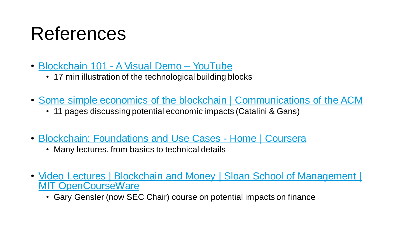## References

- [Blockchain 101 -](https://www.youtube.com/watch?v=_160oMzblY8) A Visual Demo YouTube
	- 17 min illustration of the technological building blocks
- [Some simple economics of the blockchain | Communications of the ACM](https://dl.acm.org/doi/10.1145/3359552)
	- 11 pages discussing potential economic impacts (Catalini & Gans)
- [Blockchain: Foundations and Use Cases -](https://www.coursera.org/learn/blockchain-foundations-and-use-cases/home/welcome) Home | Coursera
	- Many lectures, from basics to technical details
- <u>Video Lectures</u> | Blockchain and Money | Sloan School of Management | MIT OpenCourseWare
	- Gary Gensler (now SEC Chair) course on potential impacts on finance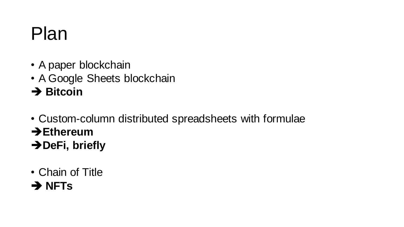- A paper blockchain
- A Google Sheets blockchain
- ➔ **Bitcoin**
- Custom-column distributed spreadsheets with formulae
- ➔**Ethereum**
- ➔**DeFi, briefly**
- Chain of Title
- ➔ **NFTs**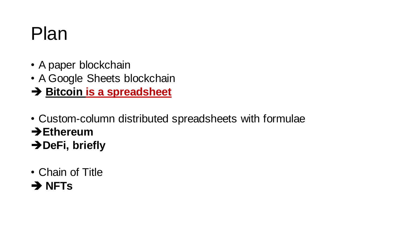- A paper blockchain
- A Google Sheets blockchain
- ➔ **Bitcoin is a spreadsheet**
- Custom-column distributed spreadsheets with formulae
- ➔**Ethereum**
- ➔**DeFi, briefly**
- Chain of Title
- ➔ **NFTs**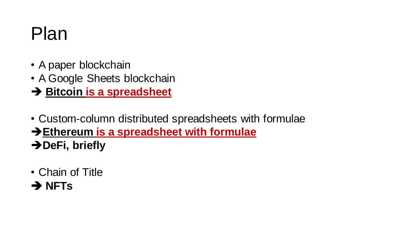- A paper blockchain
- A Google Sheets blockchain
- ➔ **Bitcoin is a spreadsheet**
- Custom-column distributed spreadsheets with formulae
- ➔**Ethereum is a spreadsheet with formulae**
- ➔**DeFi, briefly**
- Chain of Title
- ➔ **NFTs**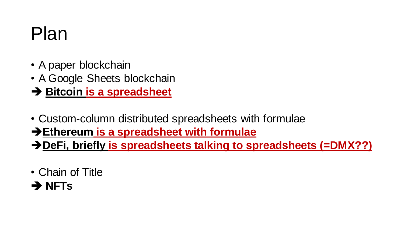- A paper blockchain
- A Google Sheets blockchain
- ➔ **Bitcoin is a spreadsheet**
- Custom-column distributed spreadsheets with formulae
- ➔**Ethereum is a spreadsheet with formulae**
- ➔**DeFi, briefly is spreadsheets talking to spreadsheets (=DMX??)**
- Chain of Title
- ➔ **NFTs**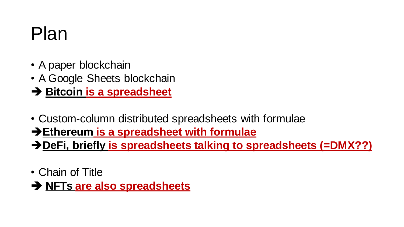- A paper blockchain
- A Google Sheets blockchain
- ➔ **Bitcoin is a spreadsheet**
- Custom-column distributed spreadsheets with formulae
- ➔**Ethereum is a spreadsheet with formulae**
- ➔**DeFi, briefly is spreadsheets talking to spreadsheets (=DMX??)**
- Chain of Title
- ➔ **NFTs are also spreadsheets**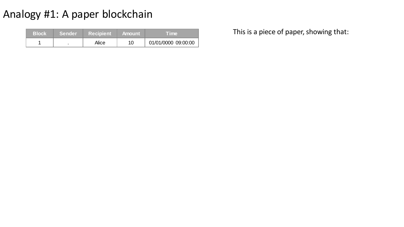| 'Block」 | <b>/Sender</b> | <b>Recipient</b> | <b>Amount</b> | Time                |
|---------|----------------|------------------|---------------|---------------------|
|         |                | Alice            |               | 01/01/0000 09:00:00 |

This is a piece of paper, showing that: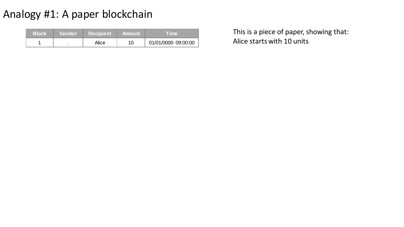| <b>Block</b> | Sender | <b>■ Recipient</b> | – Amount | <b>Time</b>         |
|--------------|--------|--------------------|----------|---------------------|
|              |        | Alice              | 10       | 01/01/0000 09:00:00 |

Alice starts with 10 units This is a piece of paper, showing that: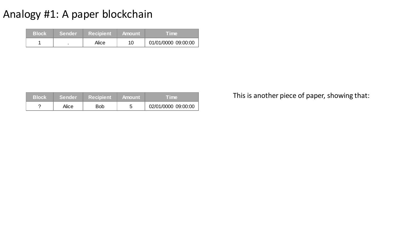| 'Block | <b>Sender</b> | <b>Recipient</b> | <b>Amount</b> | <b>Lime</b>         |
|--------|---------------|------------------|---------------|---------------------|
|        |               | Alice            |               | 01/01/0000 09:00:00 |

| <b>Block</b> | <b>Sender</b> | ∣ Recipient <sup>∖</sup> | ∟Amount' | Time.               |
|--------------|---------------|--------------------------|----------|---------------------|
|              | Alice         | <b>Bob</b>               |          | 02/01/0000 09:00:00 |

This is another piece of paper, showing that: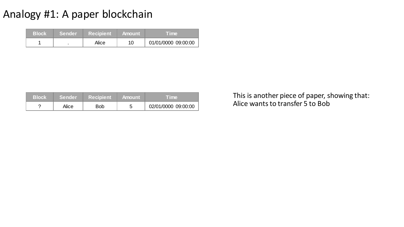| <b>Block</b> | <b>Sender</b> | <b>Recipient</b> | ⊾Amount \ | <b>Time</b>         |
|--------------|---------------|------------------|-----------|---------------------|
|              |               | Alice            | 10        | 01/01/0000 09:00:00 |

| /Block | <b>Sender</b> | <b>Recipient</b> | <b>Amount</b> | Time                |
|--------|---------------|------------------|---------------|---------------------|
|        | Alice         | Bob              |               | 02/01/0000 09:00:00 |

Alice wants to transfer 5 to Bob This is another piece of paper, showing that: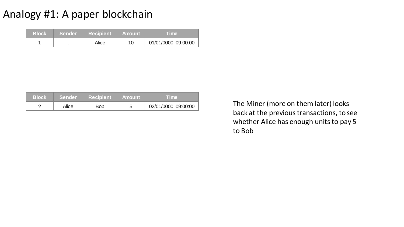| <b>Block</b> | <b>/Sender</b> | <b>Recipient</b> | <b>Amount</b> | <b>Time</b>         |
|--------------|----------------|------------------|---------------|---------------------|
|              |                | Alice            |               | 01/01/0000 09:00:00 |

| /Block | <b>Sender</b> | Recipient | <b>⊟ Amount</b> | Time.               |
|--------|---------------|-----------|-----------------|---------------------|
|        | Alice         | Bob       |                 | 02/01/0000 09:00:00 |

The Miner (more on them later) looks back at the previous transactions, to see whether Alice has enough units to pay 5 to Bob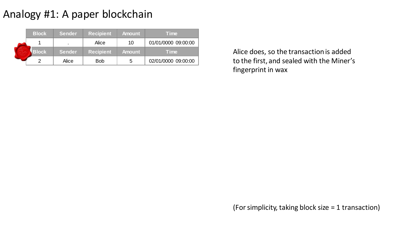| <b>Block</b> | <b>Sender</b>            | <b>Recipient</b> | <b>Amount</b> | Time                |
|--------------|--------------------------|------------------|---------------|---------------------|
|              | $\overline{\phantom{a}}$ | Alice            | 10            | 01/01/0000 09:00:00 |
| <b>Block</b> | <b>Sender</b>            | <b>Recipient</b> | <b>Amount</b> | <b>Time</b>         |
|              | Alice                    | <b>Bob</b>       | 5             | 02/01/0000 09:00:00 |

Alice does, so the transaction is added to the first, and sealed with the Miner's fingerprint in wax

(For simplicity, taking block size = 1 transaction)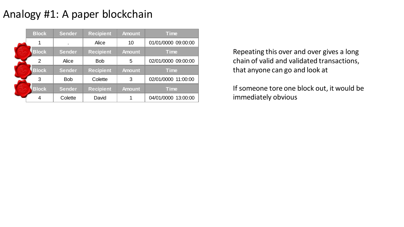| <b>Block</b>   | <b>Sender</b>  | <b>Recipient</b> | <b>Amount</b> | <b>Time</b>         |
|----------------|----------------|------------------|---------------|---------------------|
| 1              | $\blacksquare$ | Alice            | 10            | 01/01/0000 09:00:00 |
| <b>Block</b>   | <b>Sender</b>  | <b>Recipient</b> | <b>Amount</b> | <b>Time</b>         |
| $\overline{2}$ | Alice          | <b>Bob</b>       | 5             | 02/01/0000 09:00:00 |
|                |                |                  |               |                     |
| <b>Block</b>   | <b>Sender</b>  | <b>Recipient</b> | <b>Amount</b> | <b>Time</b>         |
| 3              | <b>Bob</b>     | Colette          | 3             | 02/01/0000 11:00:00 |
| <b>Block</b>   | <b>Sender</b>  | <b>Recipient</b> | <b>Amount</b> | <b>Time</b>         |

Repeating this over and over gives a long chain of valid and validated transactions, that anyone can go and look at

If someone tore one block out, it would be immediately obvious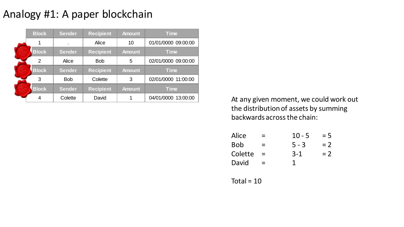| <b>Block</b> | <b>Sender</b>  | <b>Recipient</b> | <b>Amount</b> | <b>Time</b>         |
|--------------|----------------|------------------|---------------|---------------------|
| 1            | $\blacksquare$ | Alice            | 10            | 01/01/0000 09:00:00 |
| <b>Block</b> | <b>Sender</b>  | <b>Recipient</b> | <b>Amount</b> | <b>Time</b>         |
| 2            | Alice          | <b>Bob</b>       | 5             | 02/01/0000 09:00:00 |
| <b>Block</b> | <b>Sender</b>  | <b>Recipient</b> | <b>Amount</b> | <b>Time</b>         |
| 3            | <b>Bob</b>     | Colette          | 3             | 02/01/0000 11:00:00 |
| <b>Block</b> | <b>Sender</b>  | <b>Recipient</b> | <b>Amount</b> | <b>Time</b>         |
| 4            | Colette        | David            | 1             | 04/01/0000 13:00:00 |

At any given moment, we could work out the distribution of assets by summing backwards across the chain:

| Alice      | $\equiv$ | $10 - 5$ | $= 5$ |
|------------|----------|----------|-------|
| <b>Bob</b> | $=$      | $5 - 3$  | $= 2$ |
| Colette    | $\equiv$ | $3 - 1$  | $= 2$ |
| David      | $=$      | 1        |       |

Total =  $10$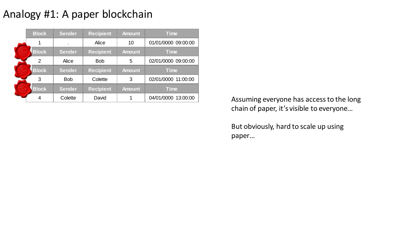| <b>Block</b> | <b>Sender</b>  | <b>Recipient</b> | <b>Amount</b> | <b>Time</b>         |
|--------------|----------------|------------------|---------------|---------------------|
| 1            | $\blacksquare$ | Alice            | 10            | 01/01/0000 09:00:00 |
| <b>Block</b> | <b>Sender</b>  | <b>Recipient</b> | <b>Amount</b> | <b>Time</b>         |
| 2            | Alice          | <b>Bob</b>       | 5             | 02/01/0000 09:00:00 |
| <b>Block</b> | <b>Sender</b>  | <b>Recipient</b> | <b>Amount</b> | <b>Time</b>         |
| 3            | <b>Bob</b>     | Colette          | 3             | 02/01/0000 11:00:00 |
|              |                |                  |               |                     |
| <b>Block</b> | <b>Sender</b>  | <b>Recipient</b> | <b>Amount</b> | <b>Time</b>         |

Assuming everyone has access to the long chain of paper, it's visible to everyone…

But obviously, hard to scale up using paper…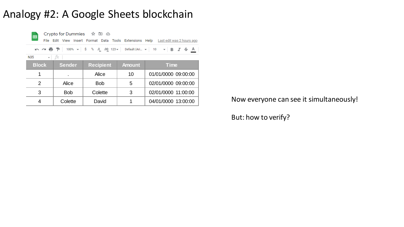#### Analogy #2: A Google Sheets blockchain



Crypto for Dummies ☆ 回 ②

File Edit View Insert Format Data Tools Extensions Help Last edit was 2 hours ago

| N35 |  |  |
|-----|--|--|
|-----|--|--|

| <b>Block</b> | <b>Sender</b>  | <b>Recipient</b> | <b>Amount</b> | <b>Time</b>         |
|--------------|----------------|------------------|---------------|---------------------|
|              | $\blacksquare$ | Alice            | 10            | 01/01/0000 09:00:00 |
|              | Alice          | <b>Bob</b>       | 5             | 02/01/0000 09:00:00 |
| 3            | <b>Bob</b>     | Colette          | 3             | 02/01/0000 11:00:00 |
|              | Colette        | David            |               | 04/01/0000 13:00:00 |

Now everyone can see it simultaneously!

But: how to verify?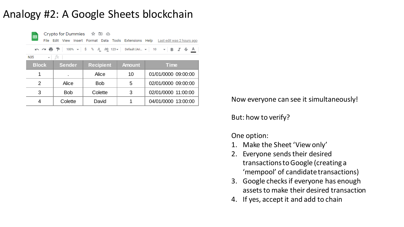#### Analogy #2: A Google Sheets blockchain



Crypto for Dummies ☆ 回 ②

File Edit View Insert Format Data Tools Extensions Help Lastedit was 2 hours ago

いべ西ア | 100% v | \$ % 0 0 123 v | Default (Ari... v | 10 v | B *I* ÷ A

 $\bullet$   $fx$ **N35** 

| <b>Block</b>  | <b>Sender</b>  | <b>Recipient</b> | <b>Amount</b> | <b>Time</b>         |
|---------------|----------------|------------------|---------------|---------------------|
|               | $\blacksquare$ | Alice            | 10            | 01/01/0000 09:00:00 |
| $\mathcal{D}$ | Alice          | <b>Bob</b>       | 5             | 02/01/0000 09:00:00 |
| 3             | <b>Bob</b>     | Colette          | 3             | 02/01/0000 11:00:00 |
|               | Colette        | David            |               | 04/01/0000 13:00:00 |

Now everyone can see it simultaneously!

But: how to verify?

One option:

- 1. Make the Sheet 'View only'
- 2. Everyone sends their desired transactions to Google (creating a 'mempool' of candidate transactions)
- 3. Google checks if everyone has enough assets to make their desired transaction
- 4. If yes, accept it and add to chain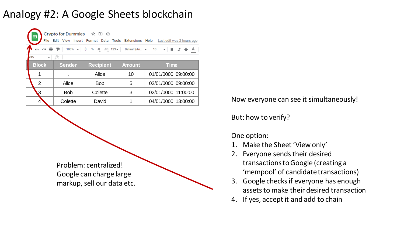### Analogy #2: A Google Sheets blockchain

| Crypto for Dummies ☆ 回 ②<br>田<br>File Edit View Insert Format Data Tools Extensions Help Last edit was 2 hours ago |                |                  |               |                     |  |  |  |  |  |  |
|--------------------------------------------------------------------------------------------------------------------|----------------|------------------|---------------|---------------------|--|--|--|--|--|--|
| いぺ目ア│100% ▼│ \$ % 0 0 123▼│ Default(Ari… ▼│ 10   ▼│ B <i>I</i> ÷ A                                                 |                |                  |               |                     |  |  |  |  |  |  |
| <b>V35</b><br>$\overline{\phantom{a}}$                                                                             | fx             |                  |               |                     |  |  |  |  |  |  |
| <b>Block</b>                                                                                                       | <b>Sender</b>  | <b>Recipient</b> | <b>Amount</b> | <b>Time</b>         |  |  |  |  |  |  |
| 1                                                                                                                  | $\blacksquare$ | Alice            | 10            | 01/01/0000 09:00:00 |  |  |  |  |  |  |
| $\overline{2}$                                                                                                     | Alice          | <b>Bob</b>       | 5             | 02/01/0000 09:00:00 |  |  |  |  |  |  |
| $\mathbf{3}$                                                                                                       | <b>Bob</b>     | Colette          | 3             | 02/01/0000 11:00:00 |  |  |  |  |  |  |
| 4                                                                                                                  | Colette        | David            |               | 04/01/0000 13:00:00 |  |  |  |  |  |  |

Problem: centralized! Google can charge large markup, sell our data etc. Now everyone can see it simultaneously!

But: how to verify?

One option:

- 1. Make the Sheet 'View only'
- 2. Everyone sends their desired transactions to Google (creating a 'mempool' of candidate transactions)
- 3. Google checks if everyone has enough assets to make their desired transaction
- 4. If yes, accept it and add to chain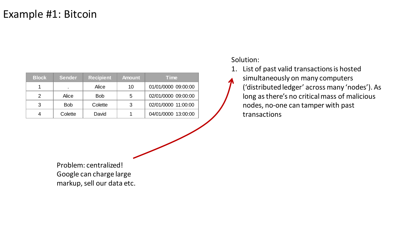| <b>Block</b> | <b>Sender</b> | <b>Recipient</b> | <b>Amount</b> | <b>Time</b>         |
|--------------|---------------|------------------|---------------|---------------------|
|              |               | Alice            | 10            | 01/01/0000 09:00:00 |
| 2            | Alice         | <b>Bob</b>       | 5             | 02/01/0000 09:00:00 |
| 3            | <b>Bob</b>    | Colette          | 3             | 02/01/0000 11:00:00 |
|              | Colette       | David            |               | 04/01/0000 13:00:00 |

Solution:

- 1. List of past valid transactions is hosted
	- simultaneously on many computers ('distributed ledger' across many 'nodes'). As long asthere's no critical mass of malicious nodes, no-one can tamper with past transactions

Problem: centralized! Google can charge large markup, sell our data etc.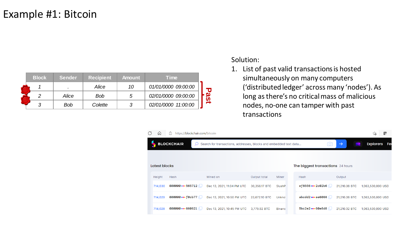| <b>Block</b> | <b>Sender</b> | <b>Recipient</b> | <b>Amount</b> | Time                |  |
|--------------|---------------|------------------|---------------|---------------------|--|
|              |               | Alice            | 10            | 01/01/0000 09:00:00 |  |
|              | Alice         | <b>Bob</b>       | .5            | 02/01/0000 09:00:00 |  |
|              | <b>Bob</b>    | Colette          |               | 02/01/0000 11:00:00 |  |

- 1. List of past valid transactions is hosted
	- simultaneously on many computers ('distributed ledger' across many 'nodes'). As long asthere's no critical mass of malicious nodes, no-one can tamper with past transactions

| ٩                                                                                           | ω             | €<br>https://blockchair.com/bitcoin |                            |               |               |                                          |               | œ<br>٤ò                |
|---------------------------------------------------------------------------------------------|---------------|-------------------------------------|----------------------------|---------------|---------------|------------------------------------------|---------------|------------------------|
| <b>BLOCKCHAIR</b><br>Search for transactions, addresses, blocks and embedded text data<br>O |               |                                     |                            |               |               |                                          | $\rightarrow$ | <b>Explorers</b><br>Fe |
|                                                                                             |               |                                     |                            |               |               |                                          |               |                        |
|                                                                                             | Latest blocks |                                     |                            |               |               | The biggest transactions 24 hours        |               |                        |
|                                                                                             | Height        | Hash                                | Mined on                   | Output total  | Miner         | Hash                                     | Output        |                        |
|                                                                                             | 714,030       | 000000  565712                      | Dec 13, 2021, 11:04 PM UTC | 30,356.17 BTC | SlushP        | $ef8556 \cdots 2c02b6$                   | 21,210.38 BTC | 1,063,530,000 USD      |
|                                                                                             | 714,029       | 000000  f0cb77                      | Dec 13, 2021, 10:50 PM UTC | 23,672.10 BTC | <b>Unkno</b>  | abcdd $2 \bullet \bullet \bullet$ ae6068 | 21,210.38 BTC | 1,063,530,000 USD      |
|                                                                                             | 714,028       | 000000  660621                      | Dec 13, 2021, 10:45 PM UTC | 3,779.92 BTC  | <b>Binanc</b> | $5bc2e2 \cdots 60e8d8$                   | 21,210.32 BTC | 1,063,530,000 USD      |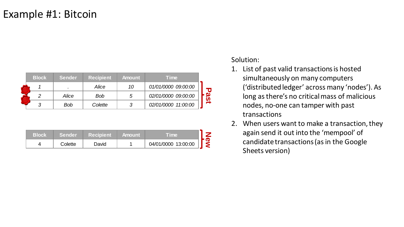| <b>Block</b> | <b>Sender</b> | <b>Recipient</b> | <b>Amount</b> | <b>Time</b>         |             |
|--------------|---------------|------------------|---------------|---------------------|-------------|
|              |               | Alice            | 10            | 01/01/0000 09:00:00 |             |
| 2            | Alice         | <b>Bob</b>       | 5             | 02/01/0000 09:00:00 | <b>Past</b> |
| 3            | <b>Bob</b>    | Colette          | 3             | 02/01/0000 11:00:00 |             |
|              |               |                  |               |                     |             |
|              |               |                  |               |                     |             |
| <b>Block</b> | <b>Sender</b> | <b>Recipient</b> | <b>Amount</b> | <b>Time</b>         |             |
| 4            | Colette       | David            |               | 04/01/0000 13:00:00 | New         |

| Block | <b>Sender</b> | <b>Recipient</b> | <b>Amount</b> | <b>Time</b>         |  |
|-------|---------------|------------------|---------------|---------------------|--|
|       | Colette       | David            |               | 04/01/0000 13:00:00 |  |

- 1. List of past valid transactions is hosted
	- simultaneously on many computers ('distributed ledger' across many 'nodes'). As long asthere's no critical mass of malicious nodes, no-one can tamper with past transactions
- 2. When users want to make a transaction, they again send it out into the 'mempool' of candidate transactions (as in the Google Sheets version)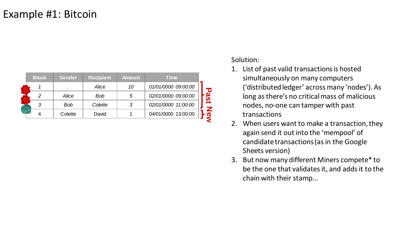| <b>Block</b> | <b>Sender</b> | <b>Recipient</b> | <b>Amount</b> | <b>Time</b>         |          |
|--------------|---------------|------------------|---------------|---------------------|----------|
|              |               | Alice            | 10            | 01/01/0000 09:00:00 | O        |
| ာ            | Alice         | <b>Bob</b>       | 5             | 02/01/0000 09:00:00 |          |
|              | <b>Bob</b>    | Colette          |               | 02/01/0000 11:00:00 | <u>ဖ</u> |
|              | Colette       | David            |               | 04/01/0000 13:00:00 | D        |
|              |               |                  |               |                     |          |

- 1. List of past valid transactions is hosted
	- simultaneously on many computers ('distributed ledger' across many 'nodes'). As long asthere's no critical mass of malicious nodes, no-one can tamper with past transactions
- 2. When users want to make a transaction, they again send it out into the 'mempool' of candidate transactions (as in the Google Sheets version)
- 3. But now many different Miners compete\* to be the one that validates it, and adds it to the chain with their stamp…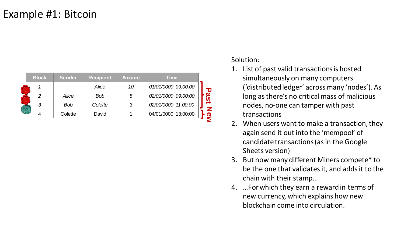| <b>Block</b> | <b>Sender</b> | <b>Recipient</b> | <b>Amount</b> | <b>Time</b>         |    |
|--------------|---------------|------------------|---------------|---------------------|----|
|              | ٠             | Alice            | 10            | 01/01/0000 09:00:00 | IJ |
| ာ            | Alice         | <b>Bob</b>       | 5             | 02/01/0000 09:00:00 |    |
|              | Bob           | Colette          |               | 02/01/0000 11:00:00 |    |
|              | Colette       | David            |               | 04/01/0000 13:00:00 | Œ  |
|              |               |                  |               |                     |    |

- 1. List of past valid transactions is hosted
	- simultaneously on many computers ('distributed ledger' across many 'nodes'). As long asthere's no critical mass of malicious nodes, no-one can tamper with past transactions
- 2. When users want to make a transaction, they again send it out into the 'mempool' of candidate transactions (as in the Google Sheets version)
- 3. But now many different Miners compete\* to be the one that validates it, and adds it to the chain with their stamp…
- 4. …For which they earn a reward in terms of new currency, which explains how new blockchain come into circulation.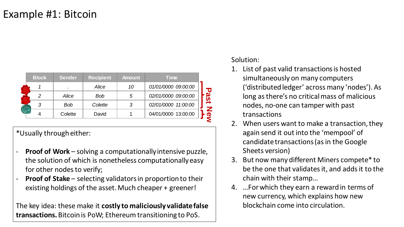| <b>Block</b> | <b>Sender</b> | <b>Recipient</b> | <b>Amount</b> | <b>Time</b>         |  |
|--------------|---------------|------------------|---------------|---------------------|--|
|              |               | Alice            | 10            | 01/01/0000 09:00:00 |  |
| っ            | Alice         | <b>Bob</b>       | 5             | 02/01/0000 09:00:00 |  |
| 3            | <b>Bob</b>    | Colette          | 3             | 02/01/0000 11:00:00 |  |
|              | Colette       | David            |               | 04/01/0000 13:00:00 |  |

\*Usually through either:

- **Proof of Work** solving a computationally intensive puzzle, the solution of which is nonetheless computationally easy for other nodes to verify;
- \* **Proof of Stake** – selecting validators in proportion to their existing holdings of the asset. Much cheaper + greener!

The key idea: these make it **costly to maliciously validate false transactions.** Bitcoin is PoW; Ethereum transitioning to PoS.

- 1. List of past valid transactions is hosted
	- simultaneously on many computers ('distributed ledger' across many 'nodes'). As long asthere's no critical mass of malicious nodes, no-one can tamper with past transactions
- 2. When users want to make a transaction, they again send it out into the 'mempool' of candidate transactions (as in the Google Sheets version)
- 3. But now many different Miners compete\* to be the one that validates it, and adds it to the chain with their stamp…
- 4. …For which they earn a reward in terms of new currency, which explains how new blockchain come into circulation.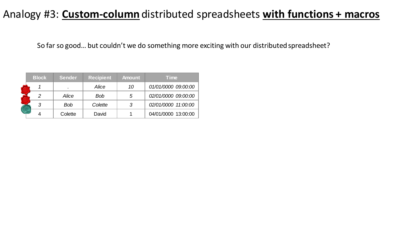#### Analogy #3: **Custom-column** distributed spreadsheets **with functions + macros**

So far so good… but couldn't we do something more exciting with our distributed spreadsheet?

| <b>Block</b>  | <b>Sender</b> | <b>Recipient</b> | <b>Amount</b> | Time                |
|---------------|---------------|------------------|---------------|---------------------|
|               |               | Alice            | 10            | 01/01/0000 09:00:00 |
| $\mathcal{P}$ | Alice         | Bob              | 5             | 02/01/0000 09:00:00 |
| 3             | Bob           | Colette          | 3             | 02/01/0000 11:00:00 |
|               | Colette       | David            |               | 04/01/0000 13:00:00 |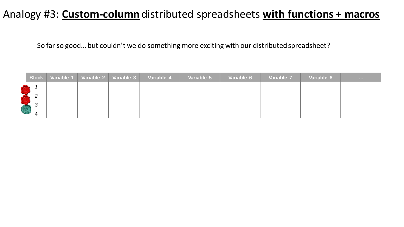#### Analogy #3: **Custom-column** distributed spreadsheets **with functions + macros**

So far so good… but couldn't we do something more exciting with our distributed spreadsheet?

|                    | <b>Block</b> | Variable 1 Variable 2 Variable 3 | Variable 4 | Variable 5 | Variable 6 | Variable 7 | Variable 8 | <b>CONTRACTOR</b> |
|--------------------|--------------|----------------------------------|------------|------------|------------|------------|------------|-------------------|
|                    |              |                                  |            |            |            |            |            |                   |
|                    |              |                                  |            |            |            |            |            |                   |
| <b>Contract</b>    |              |                                  |            |            |            |            |            |                   |
| <b>CERTIFICATE</b> |              |                                  |            |            |            |            |            |                   |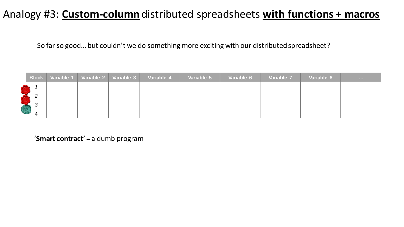#### Analogy #3: **Custom-column** distributed spreadsheets **with functions + macros**

So far so good… but couldn't we do something more exciting with our distributed spreadsheet?

|      | <b>Block</b> | Variable 1 Variable 2 Variable 3 |  | Variable 4 | Variable 5 | Variable 6 | Variable 7 | Variable 8 | <b>CONTRACTOR</b> |
|------|--------------|----------------------------------|--|------------|------------|------------|------------|------------|-------------------|
|      |              |                                  |  |            |            |            |            |            |                   |
|      |              |                                  |  |            |            |            |            |            |                   |
| 6339 |              |                                  |  |            |            |            |            |            |                   |
| L.   |              |                                  |  |            |            |            |            |            |                   |

'**Smart contract**' = a dumb program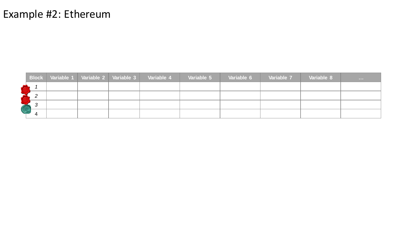#### Example #2: Ethereum

|               | <b>Block</b> | Variable 1   Variable 2   Variable 3 | Variable 4 | Variable 5 | Variable 6 | Variable 7 | Variable 8 | <b>CONTRACTOR</b> |
|---------------|--------------|--------------------------------------|------------|------------|------------|------------|------------|-------------------|
|               |              |                                      |            |            |            |            |            |                   |
|               |              |                                      |            |            |            |            |            |                   |
| <b>ART</b>    |              |                                      |            |            |            |            |            |                   |
| <b>ASSESS</b> |              |                                      |            |            |            |            |            |                   |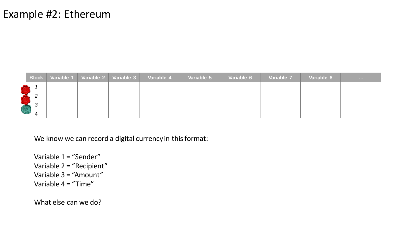#### Example #2: Ethereum

|   | <b>Block</b> | Variable 1 Variable 2 Variable 3 |  | Variable 4 | Variable 5 | Variable 6 | Variable 7 | Variable 8 | <b>CONTRACTOR</b> |
|---|--------------|----------------------------------|--|------------|------------|------------|------------|------------|-------------------|
|   |              |                                  |  |            |            |            |            |            |                   |
|   |              |                                  |  |            |            |            |            |            |                   |
|   |              |                                  |  |            |            |            |            |            |                   |
| S |              |                                  |  |            |            |            |            |            |                   |

We know we can record a digital currency in this format:

Variable 1 = "Sender" Variable 2 = "Recipient" Variable 3 = "Amount" Variable  $4 = 4$ Time"

What else can we do?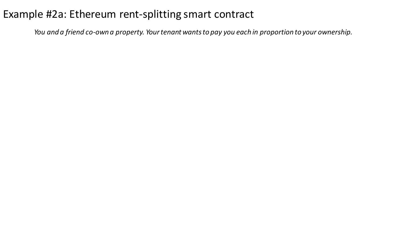*You and a friend co-own a property. Your tenant wants to pay you each in proportion to your ownership.*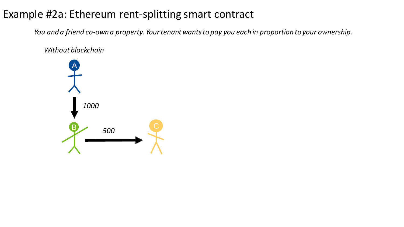*You and a friend co-own a property. Your tenant wants to pay you each in proportion to your ownership.*

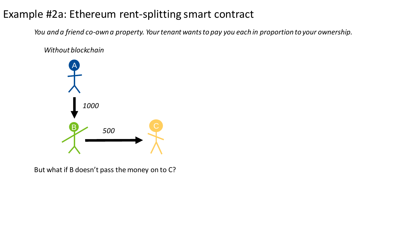*You and a friend co-own a property. Your tenant wants to pay you each in proportion to your ownership.*



But what if B doesn't pass the money on to C?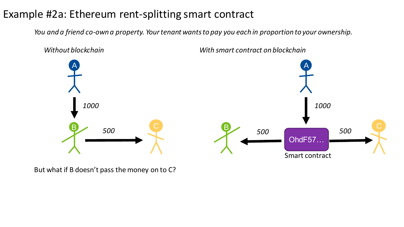*You and a friend co-own a property. Your tenant wants to pay you each in proportion to your ownership.*



But what if B doesn't pass the money on to C?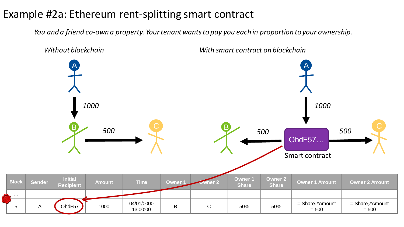*You and a friend co-own a property. Your tenant wants to pay you each in proportion to your ownership.*

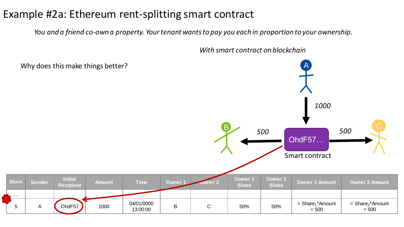*…*

\*

*You and a friend co-own a property. Your tenant wants to pay you each in proportion to your ownership.*

**Block Sender Initial Block Sender** Recipient **Recipient Amount Time Owner 1 Owner 2 Owner 1 Share Owner 2 Share Owner 1 Amount Owner 2 Amount** 5 A COhdF57 1000  $^{04/01/0000}$ 13:00:00 <sup>B</sup> <sup>C</sup> 50% 50% = Share<sup>1</sup>  $=$  Share<sub>1</sub>\*Amount  $= 500$ = Share<sub>2</sub>\*Amount  $= 500$ A  $\overline{B}$   $\overline{C}$   $\overline{C}$   $\overline{C}$   $\overline{C}$   $\overline{C}$   $\overline{C}$   $\overline{C}$   $\overline{C}$   $\overline{C}$ *1000 500 500* OhdF57… Smart contract Why does this make things better?

*With smart contract on blockchain*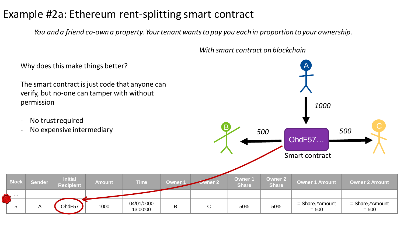*You and a friend co-own a property. Your tenant wants to pay you each in proportion to your ownership.*

Why does this make things better? The smart contract is just code that anyone can verify, but no-one can tamper with without permission - No trust required - No expensive intermediary **Block Sender Initial Block Sender Recipient Amount Time Owner 1 Owner 2 Owner 1 Share Owner 2 Share Owner 1 Amount Owner 2 Amount** *…* 5 A COhdF57 1000  $^{04/01/0000}$ 13:00:00 <sup>B</sup> <sup>C</sup> 50% 50% = Share<sup>1</sup>  $=$  Share<sub>1</sub>\*Amount  $= 500$ = Share<sub>2</sub>\*Amount  $= 500$ A  $\overline{B}$   $\overline{C}$   $\overline{C}$   $\overline{C}$   $\overline{C}$   $\overline{C}$   $\overline{C}$   $\overline{C}$   $\overline{C}$   $\overline{C}$ *1000 500 500* OhdF57… Smart contract \*

*With smart contract on blockchain*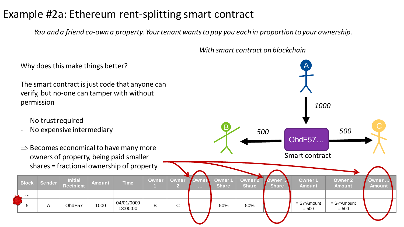*You and a friend co-own a property. Your tenant wants to pay you each in proportion to your ownership.*

*With smart contract on blockchain*

*500*

A

 $\overline{B}$   $\overline{C}$   $\overline{C}$   $\overline{C}$   $\overline{C}$   $\overline{C}$   $\overline{C}$   $\overline{C}$   $\overline{C}$   $\overline{C}$ 

OhdF57…

*1000*

*500*

Why does this make things better?

The smart contract is just code that anyone can verify, but no-one can tamper with without permission

- No trust required
- No expensive intermediary
- Becomes economical to have many more owners of property, being paid smaller

|              |        |                                    |               | $\rightarrow$ Decorries economical to have many more<br>owners of property, being paid smaller |       |              |                       |                               |                                |                       | Smart contract                 |                                 |                        |  |
|--------------|--------|------------------------------------|---------------|------------------------------------------------------------------------------------------------|-------|--------------|-----------------------|-------------------------------|--------------------------------|-----------------------|--------------------------------|---------------------------------|------------------------|--|
|              |        |                                    |               | shares = fractional ownership of property                                                      |       |              |                       |                               |                                |                       |                                |                                 |                        |  |
| <b>Block</b> | Sender | <b>Initial</b><br><b>Recipient</b> | <b>Amount</b> | <b>Time</b>                                                                                    | Owner | <b>Owner</b> | Ownen<br><b>STATE</b> | <b>Owner1</b><br><b>Share</b> | <b>Owner 2</b><br><b>Share</b> | Owner<br><b>Share</b> | <b>Owner1</b><br><b>Amount</b> | <b>Owner 2</b><br><b>Amount</b> | Owner<br><b>Amount</b> |  |
| $\cdots$     |        |                                    |               |                                                                                                |       |              |                       |                               |                                |                       |                                |                                 |                        |  |
| 5            | A      | OhdF57                             | 1000          | 04/01/0000<br>13:00:00                                                                         | B     | C            |                       | 50%                           | 50%                            |                       | $= S_1^*$ Amount<br>$= 500$    | $= S_2^*$ Amount<br>$= 500$     |                        |  |
|              |        |                                    |               |                                                                                                |       |              |                       |                               |                                |                       |                                |                                 |                        |  |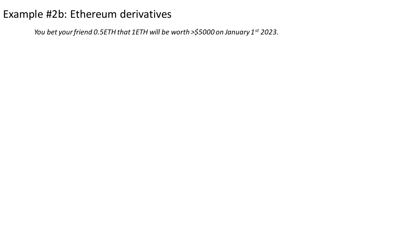*You bet your friend 0.5ETH that 1ETH will be worth >\$5000 on January 1st 2023.*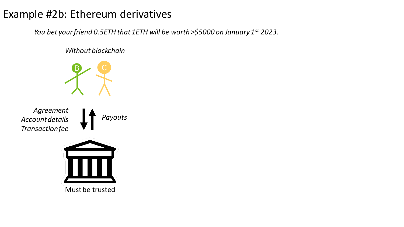*You bet your friend 0.5ETH that 1ETH will be worth >\$5000 on January 1st 2023.* 



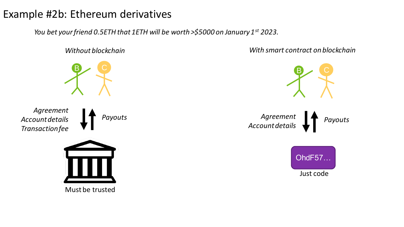*You bet your friend 0.5ETH that 1ETH will be worth >\$5000 on January 1st 2023.* 

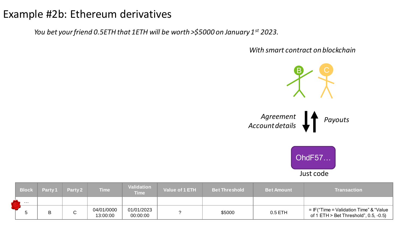*You bet your friend 0.5ETH that 1ETH will be worth >\$5000 on January 1st 2023.* 

*With smart contract on blockchain*



| <b>Block</b> | Party 1 | Party 2 | Time                   | <b>Validation</b><br><b>Time</b> | <b>Value of 1 ETH</b> | <b>Bet Threshold</b> | <b>Bet Amount</b> | <b>Transaction</b>                                                                  |
|--------------|---------|---------|------------------------|----------------------------------|-----------------------|----------------------|-------------------|-------------------------------------------------------------------------------------|
| .            |         |         |                        |                                  |                       |                      |                   |                                                                                     |
|              |         | ⌒<br>◡  | 04/01/0000<br>13:00:00 | 01/01/2023<br>00:00:00           |                       | \$5000               | $0.5$ ETH         | $=$ IF("Time = Validation Time" & "Value<br>of 1 ETH $>$ Bet Threshold", 0.5, -0.5) |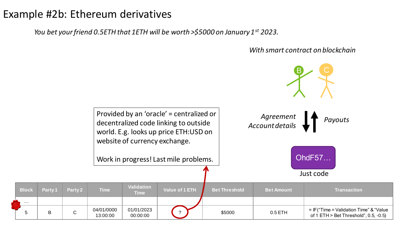\*

*…*

*You bet your friend 0.5ETH that 1ETH will be worth >\$5000 on January 1st 2023.* 

#### *With smart contract on blockchain*

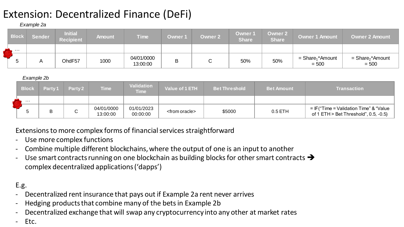### Extension: Decentralized Finance (DeFi)

#### *Example 2a*

| <b>Block</b> | <b>Sender</b> | <b>Initial</b><br><b>Recipient</b> | <b>Amount</b> | <b>Time</b>            | Owner 1 | <b>Owner 2</b> | <b>Owner 1</b><br><b>Share</b> | Owner 2<br><b>Share</b> | <b>Owner 1 Amount</b>                     | <b>Owner 2 Amount</b>                     |
|--------------|---------------|------------------------------------|---------------|------------------------|---------|----------------|--------------------------------|-------------------------|-------------------------------------------|-------------------------------------------|
| .            |               |                                    |               |                        |         |                |                                |                         |                                           |                                           |
|              |               | OhdF57                             | 1000          | 04/01/0000<br>13:00:00 | B       |                | 50%                            | 50%                     | $=$ Share <sub>1</sub> *Amount<br>$= 500$ | $=$ Share <sub>2</sub> *Amount<br>$= 500$ |

#### *Example 2b*

| <b>Block</b> | Party 1 | Party <sub>2</sub> | <b>Time</b>            | <b>Validation</b><br><b>Time</b> | Value of 1 ETH          | <b>Bet Threshold</b> | <b>Bet Amount</b> | <b>Transaction</b>                                                                  |
|--------------|---------|--------------------|------------------------|----------------------------------|-------------------------|----------------------|-------------------|-------------------------------------------------------------------------------------|
| .            |         |                    |                        |                                  |                         |                      |                   |                                                                                     |
|              | D       |                    | 04/01/0000<br>13:00:00 | 01/01/2023<br>00:00:00           | <from oracle=""></from> | \$5000               | $0.5$ ETH         | $=$ IF("Time = Validation Time" & "Value<br>of 1 ETH $>$ Bet Threshold", 0.5, -0.5) |

#### Extensions to more complex forms of financial services straightforward

- Use more complex functions
- Combine multiple different blockchains, where the output of one is an input to another
- Use smart contracts running on one blockchain as building blocks for other smart contracts  $\rightarrow$ complex decentralized applications ('dapps')

#### E.g.

- Decentralized rent insurance that pays out if Example 2a rent never arrives
- Hedging products that combine many of the bets in Example 2b
- Decentralized exchange that will swap any cryptocurrency into any other at market rates
- Etc.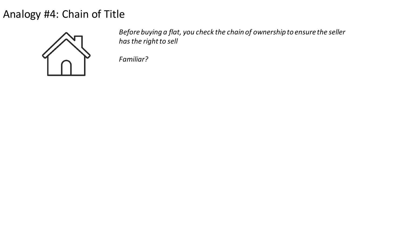Analogy #4: Chain of Title



*Before buying a flat, you check the chain of ownership to ensure the seller has the right to sell*

*Familiar?*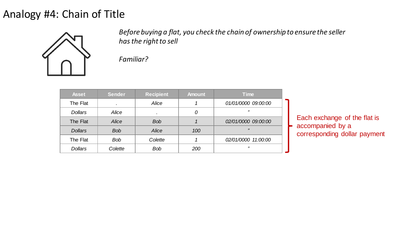#### Analogy #4: Chain of Title



*Before buying a flat, you check the chain of ownership to ensure the seller has the right to sell*

*Familiar?*

| <b>Asset</b>   | <b>Sender</b> | <b>Recipient</b> | <b>Amount</b> | <b>Time</b>         |
|----------------|---------------|------------------|---------------|---------------------|
| The Flat       |               | Alice            |               | 01/01/0000 09:00:00 |
| <b>Dollars</b> | Alice         | $\cdot$          | 0             | "                   |
| The Flat       | Alice         | <b>Bob</b>       |               | 02/01/0000 09:00:00 |
| <b>Dollars</b> | <b>Bob</b>    | Alice            | 100           | 77                  |
| The Flat       | <b>Bob</b>    | Colette          |               | 02/01/0000 11:00:00 |
| <b>Dollars</b> | Colette       | <b>Bob</b>       | 200           | "                   |

Each exchange of the flat is accompanied by a corresponding dollar payment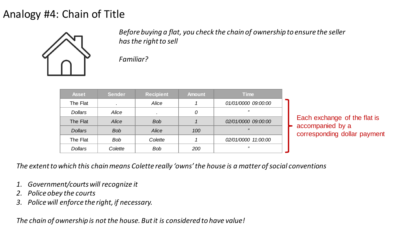#### Analogy #4: Chain of Title



*Before buying a flat, you check the chain of ownership to ensure the seller has the right to sell*

*Familiar?*

| <b>Asset</b>   | <b>Sender</b> | <b>Recipient</b> | <b>Amount</b> | <b>Time</b>         |
|----------------|---------------|------------------|---------------|---------------------|
| The Flat       | ٠             | Alice            |               | 01/01/0000 09:00:00 |
| <b>Dollars</b> | Alice         |                  | 0             | "                   |
| The Flat       | <b>Alice</b>  | <b>Bob</b>       |               | 02/01/0000 09:00:00 |
| <b>Dollars</b> | <b>Bob</b>    | Alice            | 100           | 77                  |
| The Flat       | <b>Bob</b>    | Colette          |               | 02/01/0000 11:00:00 |
| <b>Dollars</b> | Colette       | <b>Bob</b>       | 200           | "                   |

Each exchange of the flat is accompanied by a corresponding dollar payment

*The extent to which this chain means Colette really 'owns' the house is a matter of social conventions*

- *1. Government/courts will recognize it*
- *2. Police obey the courts*
- *3. Police will enforce the right, if necessary.*

*The chain of ownership is not the house. But it is considered to have value!*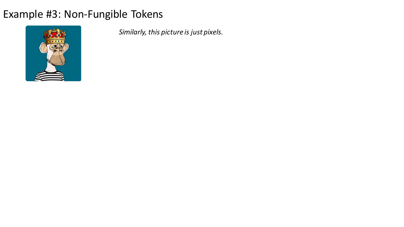

*Similarly, this picture is just pixels.*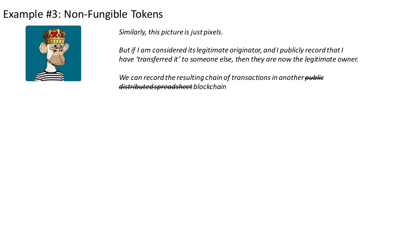

*Similarly, this picture is just pixels.* 

*But if I am considered its legitimate originator, and I publicly record that I have 'transferred it' to someone else, then they are now the legitimate owner.*

*We can record the resulting chain of transactions in another public distributed spreadsheet blockchain*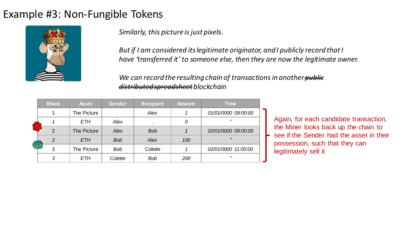

*Similarly, this picture is just pixels.* 

*But if I am considered its legitimate originator, and I publicly record that I have 'transferred it' to someone else, then they are now the legitimate owner.*

*We can record the resulting chain of transactions in another public distributed spreadsheet blockchain*

|  | <b>Block</b>   | <b>Asset</b> | <b>Sender</b> | <b>Recipient</b> | <b>Amount</b> | <b>Time</b>         |
|--|----------------|--------------|---------------|------------------|---------------|---------------------|
|  |                | The Picture  |               | Alex             |               | 01/01/0000 09:00:00 |
|  |                | ETH          | Alex          |                  |               | "                   |
|  | $\overline{2}$ | The Picture  | Alex          | <b>Bob</b>       |               | 02/01/0000 09:00:00 |
|  | $\overline{2}$ | <b>ETH</b>   | <b>Bob</b>    | Alex             | 100           | 55                  |
|  | 3              | The Picture  | <b>Bob</b>    | Colette          |               | 02/01/0000 11:00:00 |
|  | 3              | ETH          | Colette       | <b>Bob</b>       | 200           | $J\bar J$           |

Again, for each candidate transaction, the Miner looks back up the chain to see if the Sender had the asset in their possession, such that they can legitimately sell it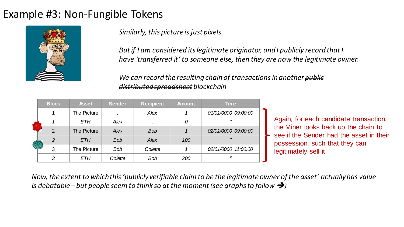

*Similarly, this picture is just pixels.* 

*But if I am considered its legitimate originator, and I publicly record that I have 'transferred it' to someone else, then they are now the legitimate owner.*

*We can record the resulting chain of transactions in another public distributed spreadsheet blockchain*

|  | <b>Block</b>  | <b>Asset</b> | <b>Sender</b> | <b>Recipient</b> | <b>Amount</b> | <b>Time</b>              |
|--|---------------|--------------|---------------|------------------|---------------|--------------------------|
|  |               | The Picture  |               | <b>Alex</b>      |               | 01/01/0000 09:00:00      |
|  |               | <b>ETH</b>   | Alex          |                  | 0             | "                        |
|  | $\mathcal{P}$ | The Picture  | Alex          | <b>Bob</b>       |               | 02/01/0000 09:00:00      |
|  | $\mathcal{P}$ | <b>ETH</b>   | <b>Bob</b>    | Alex             | 100           | 77                       |
|  | 3             | The Picture  | <b>Bob</b>    | Colette          |               | 02/01/0000 11:00:00      |
|  | 3             | ETH          | Colette       | <b>Bob</b>       | 200           | $\overline{\phantom{a}}$ |

Again, for each candidate transaction, the Miner looks back up the chain to see if the Sender had the asset in their possession, such that they can legitimately sell it

*Now, the extent to which this 'publicly verifiable claim to be the legitimate owner of the asset' actually has value is debatable – but people seem to think so at the moment (see graphs to follow*  $\rightarrow$ *)*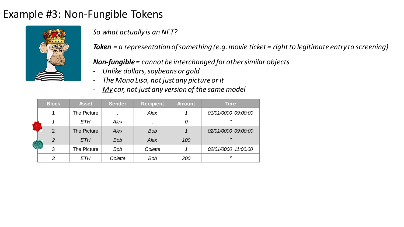

*So what actually is an NFT?*

*Token = a representation of something (e.g.movie ticket = right to legitimate entry to screening)*

#### *Non-fungible= cannot be interchanged for other similar objects*

- *Unlike dollars, soybeans or gold*
- *The Mona Lisa, not just any picture or it*
- *My car, not just any version of the same model*

|  | <b>Block</b>  | <b>Asset</b> | <b>Sender</b> | <b>Recipient</b> | <b>Amount</b> | <b>Time</b>         |
|--|---------------|--------------|---------------|------------------|---------------|---------------------|
|  |               | The Picture  |               | Alex             |               | 01/01/0000 09:00:00 |
|  |               | ETH          | Alex          |                  | 0             | 55                  |
|  | $\mathcal{P}$ | The Picture  | Alex          | <b>Bob</b>       |               | 02/01/0000 09:00:00 |
|  | 2             | <b>ETH</b>   | <b>Bob</b>    | <b>Alex</b>      | 100           | 77                  |
|  | 3             | The Picture  | <b>Bob</b>    | Colette          |               | 02/01/0000 11:00:00 |
|  | 3             | ETH          | Colette       | <b>Bob</b>       | 200           | "                   |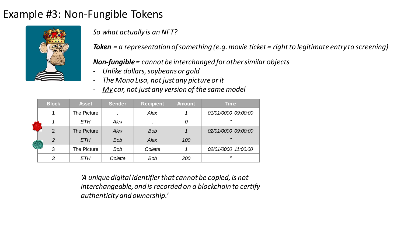

*So what actually is an NFT?*

*Token = a representation of something (e.g.movie ticket = right to legitimate entry to screening)*

#### *Non-fungible= cannot be interchanged for other similar objects*

- *Unlike dollars, soybeans or gold*
- *The Mona Lisa, not just any picture or it*
- *My car, not just any version of the same model*

|  | <b>Block</b>  | <b>Asset</b> | <b>Sender</b> | <b>Recipient</b> | <b>Amount</b> | <b>Time</b>              |
|--|---------------|--------------|---------------|------------------|---------------|--------------------------|
|  |               | The Picture  |               | Alex             |               | 01/01/0000 09:00:00      |
|  |               | <b>ETH</b>   | Alex          |                  |               | 77                       |
|  | $\mathcal{P}$ | The Picture  | Alex          | <b>Bob</b>       |               | 02/01/0000 09:00:00      |
|  | 2             | <b>ETH</b>   | <b>Bob</b>    | Alex             | 100           | 77                       |
|  | 3             | The Picture  | <b>Bob</b>    | Colette          |               | 02/01/0000 11:00:00      |
|  | 3             | <b>ETH</b>   | Colette       | <b>Bob</b>       | 200           | $\overline{\phantom{a}}$ |

*'A unique digital identifier that cannot be copied, is not interchangeable, and is recorded on a blockchain to certify authenticity and ownership.'*